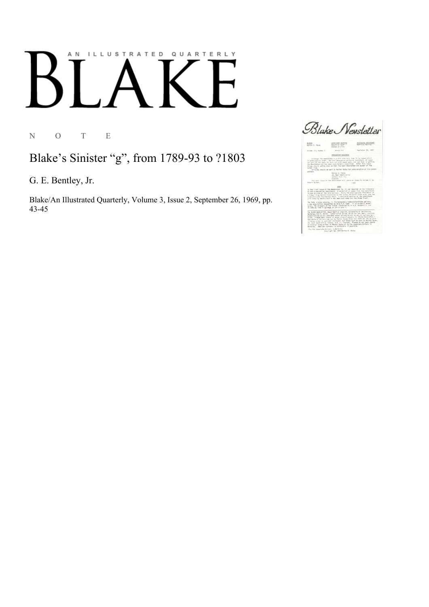## ILLUSTRATED QUARTERLY A N

N O T E

Blake's Sinister "g", from 1789-93 to ?1803

G. E. Bentley, Jr.

Blake/An Illustrated Quarterly, Volume 3, Issue 2, September 26, 1969, pp. 43-45

Blake Newsletter

 $\frac{4400\,\mathrm{MeV}}{650\,\mathrm{eV}^2\,\mathrm{eV}}\,\frac{445\,\mathrm{eV}}{8\,\mathrm{eV}^2}$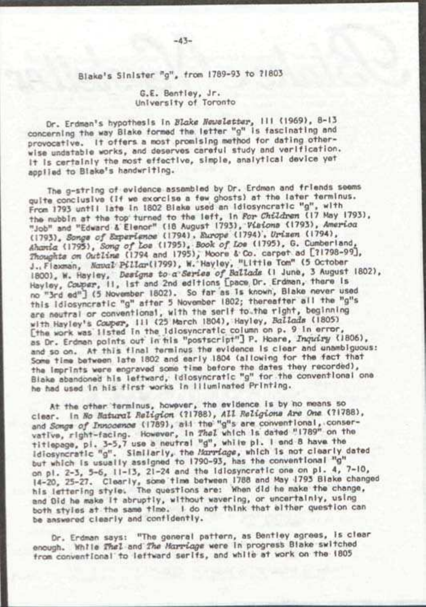## Blake's Sinister "g". <sup>f</sup>rom 1789-93 to 71803

## G.E. Bentley, Jr. University of Toronto

Dr. Erdman's hypothesis In *Blake newsletter,* III (1969), 8-13 concerning the way Blake formed the letter "g" is fascinating and provocative. It offers a most promising method for dating otherwise undatable works, and deserves careful study and verification. It Is certainly the most effective, simple, analytical device yet applied to Blake's handwriting.

The g-strlng of evidence assembled by Or. Erdman and friends seems quite conclusive (If we exorcise a few ghosts) at the later terminus. From 1793 until late In 1802 Blake used an Idiosyncratic "g", with the nubbin at the top turned to the left. In *For Children* (17 May 1793), "Job" and "Edward & Elenor" (18 August 1793), *Visions* <I793), *Amerum*  (1793) *Sonae of Experience* (1794) . *Europe* (1794) . *Uriaen* (1794), *Ahania* (1795), *Song of toe* (1795), *Book of Lot* (1795), G. Cumberland, *Thoughts on Outline* (1794 and 1795), Moore 1 Co. carpet ad [71798-99], J.Tnaxman, *Naval Pillarl* 1799), W. Hayley, "Little Tom" (5 October 1800). W. Hayley, *Designs to a Series of Ballads* (I June, 3 August 1802), Hayley *Cooper,* II, 1st and 2nd editions Cpace Or. Erdman, there Is no "3rd ed"] (5 November 1802). So far as Is known, Blake never used this Idiosyncratic "g" after 5 November 1802; thereafter all the 'g's are neutral or conventional, with the serif to.the right, beginning with Hayley's *Cooper,* III (25 March 1804), Hayley, *Ballads* (1805) [the work was ilsted in the Idiosyncratic column on p. 9 in error, as Dr. Erdman points out in tils "postscript"} P. Hoare, *Inquiry* (1806), and so on. At this final terminus the evidence Is clear and unambiguous: Some time between late 1802 and early 1804 (allowing for the fact that the imprints were engraved some time before the dates they recorded), Blake abandoned his leftward. Idiosyncratic "g" for the conventional one he had used In his first works in Illuminated Printing.

At the other terminus, however, the evidence Is by no means so clear. In *Ho natural Religion* (71788), *All Religions Are One* (71788), and *Songs of Innocence* (1789), all the "g"s are conventional, conservative, right-facing. However, In *Thel* which Is dated "1789" on the tltlepage, pi. 3-5,7 use a neutral "g", while pi. I end 8 have the Idiosyncratic "g". Similarly, the *Harriage,* which Is not clearly dated but which Is usually assigned to 1790-93, has the conventional "g" on pi. 2-3, 5-6, 11-13, 21-24 and the Idiosyncratic one on pi. 4, 7-10, 14-20, 25-27. Clearly, some time between 1788 and May 1793 Blake changed his lettering style. The questions are: When did he make the change, and Old he make It abruptly, without wavering, or uncertainly, using both styles at the same time. I do not think that either question can be answered clearly and confidently.

Or. Erdman says: "The general pattern, as Bentley agrees. Is clear enough. While *Tnel* and *The Harriage* were In progress Blake switched from conventional to leftward serifs, and while at work on the 1805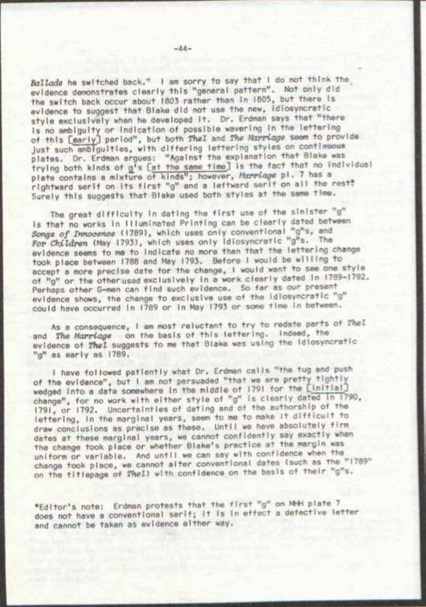*Ballade* he switched back." I am sorry to say that I do not think the evidence demonstrates clearly this "general pattern". Not only did the switch back occur about IB03 rather than In 1805, but there Is evidence to suggest that Blake did not use the new. Idiosyncratic style exclusively when he developed it. Dr. Erdman says that "there Is no ambiguity or Indication of possible wavering In the lettering of this CearlyJ period", but both *Thai* and *The Marriage* seem to provide Just such ambiguities, with differing lettering styles on contiguous plates. Or. Erdman argues: "Against the explanation that Blake was trying both kinds of gjs fat the same time] Is the fact that no individual plate contains a mixture of kinds"; however. *Marriage* pi. 7 has a rlahtward serif on Its first "g" and a leftward serif on all the rest." Surely this suggests that Blake used both stylos at the same time.

The great difficulty In dating the first use of the sinister "g" Is that no works In Illuminated Printing can be clearly dated between *Songe of Innocence* (1789), which uses only conventional "g"s, and *For Children* (May 1793), which uses only Idiosyncratic "g"s. The evidence seems to me to Indicate no more than that the lettering change took place between 1788 and May 1793. Before I would be willing to accept a more precise date tor the change, I would want to see one style of "g" or the other usod exclusively In a work clearly dated In 1789-1792. Perhaps other G-men can find such evidence. So far as our present evidence shows, the change to exclusive use of the idiosyncratic "g" could have occurred In 1789 or In May 1793 or some time in between.

As a consequence, I am most reluctant to try to redate parts of *Thel*  and *The Marriage* on the basis of this lettering. Indeed, the evidence of *Thel* suggests to me that Blake was using the Idiosyncratic "g" as early as 1789.

I have followed patiently what Or. Erdman calls "the tug and push of the evidence", but I am not persuaded "that we are pretty tightly wedged into a date somewhere in the middle of 1791 for the [initial] change", for no work with either style of "g" is clearly dated in 1790, 1791, or 1792. Uncertainties of dating and of the authorship of the lettering. In the marginal years, seem to me to make it difficult to draw conclusions as precise as these. Until we have absolutely firm dates at these marginal years, we cannot confidently say exactly when the change took place or whether Blake's practice at the margin was uniform or variable. And until we can say with confidence when the<br>change took place, we cannot alter conventional dates (such as the "1789" on the titlepage of Thel) with confidence on the basis of their "g"s.

"Editor's note: Erdman protosts that the first "g" on MHH plate 7 does not have a conventional serif; It Is In effect a defective letter and cannot be taken as evidence either way.